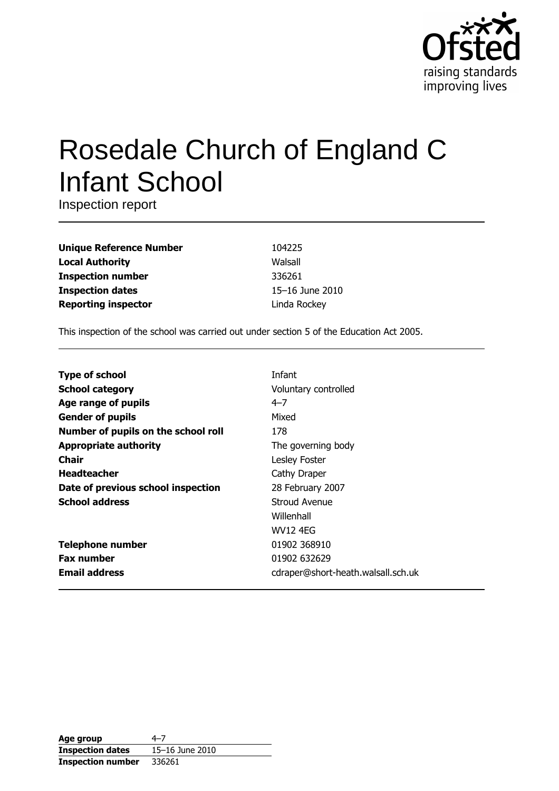

# Rosedale Church of England C **Infant School**

Inspection report

**Unique Reference Number Local Authority Inspection number Inspection dates Reporting inspector** 

104225 Walsall 336261 15-16 June 2010 Linda Rockey

This inspection of the school was carried out under section 5 of the Education Act 2005.

| <b>Type of school</b>               | Infant                             |
|-------------------------------------|------------------------------------|
| <b>School category</b>              | Voluntary controlled               |
| Age range of pupils                 | $4 - 7$                            |
| <b>Gender of pupils</b>             | Mixed                              |
| Number of pupils on the school roll | 178                                |
| <b>Appropriate authority</b>        | The governing body                 |
| <b>Chair</b>                        | Lesley Foster                      |
| <b>Headteacher</b>                  | Cathy Draper                       |
| Date of previous school inspection  | 28 February 2007                   |
| <b>School address</b>               | Stroud Avenue                      |
|                                     | Willenhall                         |
|                                     | <b>WV12 4EG</b>                    |
| <b>Telephone number</b>             | 01902 368910                       |
| <b>Fax number</b>                   | 01902 632629                       |
| <b>Email address</b>                | cdraper@short-heath.walsall.sch.uk |

| Age group                | 4–7             |
|--------------------------|-----------------|
| <b>Inspection dates</b>  | 15-16 June 2010 |
| <b>Inspection number</b> | 336261          |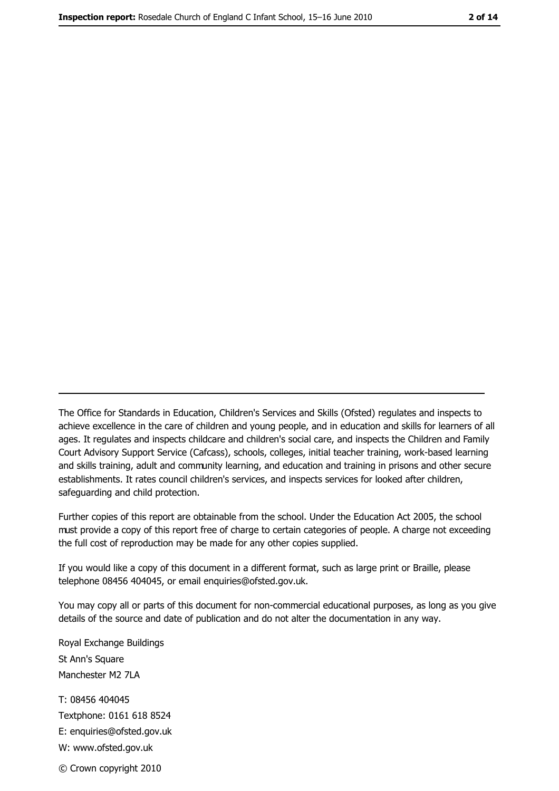The Office for Standards in Education, Children's Services and Skills (Ofsted) regulates and inspects to achieve excellence in the care of children and young people, and in education and skills for learners of all ages. It regulates and inspects childcare and children's social care, and inspects the Children and Family Court Advisory Support Service (Cafcass), schools, colleges, initial teacher training, work-based learning and skills training, adult and community learning, and education and training in prisons and other secure establishments. It rates council children's services, and inspects services for looked after children, safequarding and child protection.

Further copies of this report are obtainable from the school. Under the Education Act 2005, the school must provide a copy of this report free of charge to certain categories of people. A charge not exceeding the full cost of reproduction may be made for any other copies supplied.

If you would like a copy of this document in a different format, such as large print or Braille, please telephone 08456 404045, or email enquiries@ofsted.gov.uk.

You may copy all or parts of this document for non-commercial educational purposes, as long as you give details of the source and date of publication and do not alter the documentation in any way.

Royal Exchange Buildings St Ann's Square Manchester M2 7LA T: 08456 404045 Textphone: 0161 618 8524 E: enquiries@ofsted.gov.uk W: www.ofsted.gov.uk © Crown copyright 2010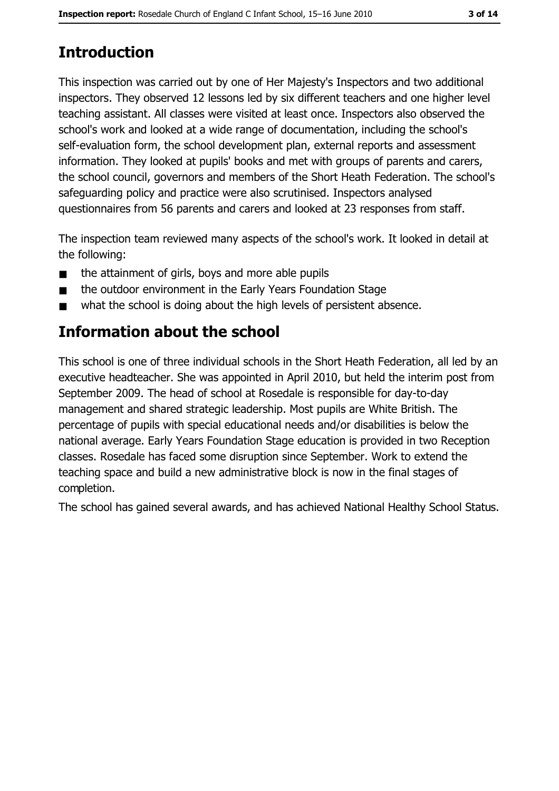# **Introduction**

This inspection was carried out by one of Her Majesty's Inspectors and two additional inspectors. They observed 12 lessons led by six different teachers and one higher level teaching assistant. All classes were visited at least once. Inspectors also observed the school's work and looked at a wide range of documentation, including the school's self-evaluation form, the school development plan, external reports and assessment information. They looked at pupils' books and met with groups of parents and carers, the school council, governors and members of the Short Heath Federation. The school's safeguarding policy and practice were also scrutinised. Inspectors analysed questionnaires from 56 parents and carers and looked at 23 responses from staff.

The inspection team reviewed many aspects of the school's work. It looked in detail at the following:

- the attainment of girls, boys and more able pupils  $\blacksquare$
- the outdoor environment in the Early Years Foundation Stage  $\blacksquare$
- what the school is doing about the high levels of persistent absence.

# **Information about the school**

This school is one of three individual schools in the Short Heath Federation, all led by an executive headteacher. She was appointed in April 2010, but held the interim post from September 2009. The head of school at Rosedale is responsible for day-to-day management and shared strategic leadership. Most pupils are White British. The percentage of pupils with special educational needs and/or disabilities is below the national average. Early Years Foundation Stage education is provided in two Reception classes. Rosedale has faced some disruption since September. Work to extend the teaching space and build a new administrative block is now in the final stages of completion.

The school has gained several awards, and has achieved National Healthy School Status.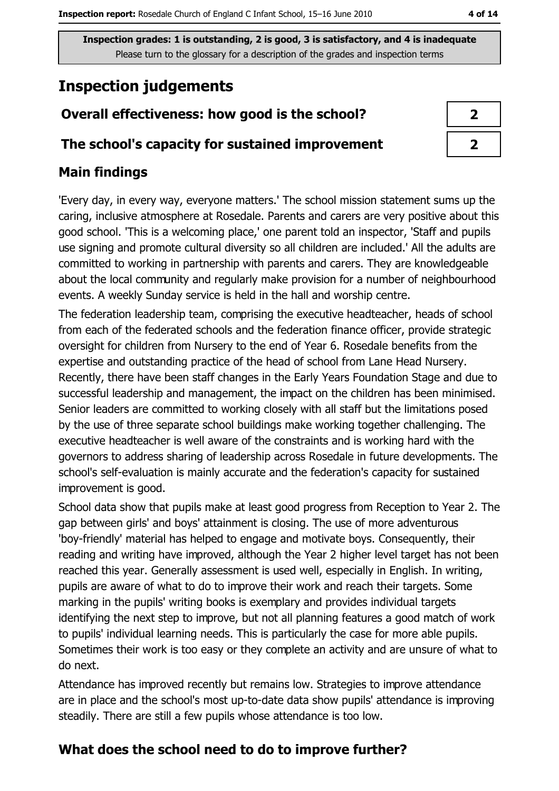# **Inspection judgements**

# Overall effectiveness: how good is the school?

## The school's capacity for sustained improvement

## **Main findings**

'Every day, in every way, everyone matters.' The school mission statement sums up the caring, inclusive atmosphere at Rosedale. Parents and carers are very positive about this good school. 'This is a welcoming place,' one parent told an inspector, 'Staff and pupils use signing and promote cultural diversity so all children are included. All the adults are committed to working in partnership with parents and carers. They are knowledgeable about the local community and regularly make provision for a number of neighbourhood events. A weekly Sunday service is held in the hall and worship centre.

The federation leadership team, comprising the executive headteacher, heads of school from each of the federated schools and the federation finance officer, provide strategic oversight for children from Nursery to the end of Year 6. Rosedale benefits from the expertise and outstanding practice of the head of school from Lane Head Nursery. Recently, there have been staff changes in the Early Years Foundation Stage and due to successful leadership and management, the impact on the children has been minimised. Senior leaders are committed to working closely with all staff but the limitations posed by the use of three separate school buildings make working together challenging. The executive headteacher is well aware of the constraints and is working hard with the governors to address sharing of leadership across Rosedale in future developments. The school's self-evaluation is mainly accurate and the federation's capacity for sustained improvement is good.

School data show that pupils make at least good progress from Reception to Year 2. The gap between girls' and boys' attainment is closing. The use of more adventurous 'boy-friendly' material has helped to engage and motivate boys. Consequently, their reading and writing have improved, although the Year 2 higher level target has not been reached this year. Generally assessment is used well, especially in English. In writing, pupils are aware of what to do to improve their work and reach their targets. Some marking in the pupils' writing books is exemplary and provides individual targets identifying the next step to improve, but not all planning features a good match of work to pupils' individual learning needs. This is particularly the case for more able pupils. Sometimes their work is too easy or they complete an activity and are unsure of what to do next.

Attendance has improved recently but remains low. Strategies to improve attendance are in place and the school's most up-to-date data show pupils' attendance is improving steadily. There are still a few pupils whose attendance is too low.

# What does the school need to do to improve further?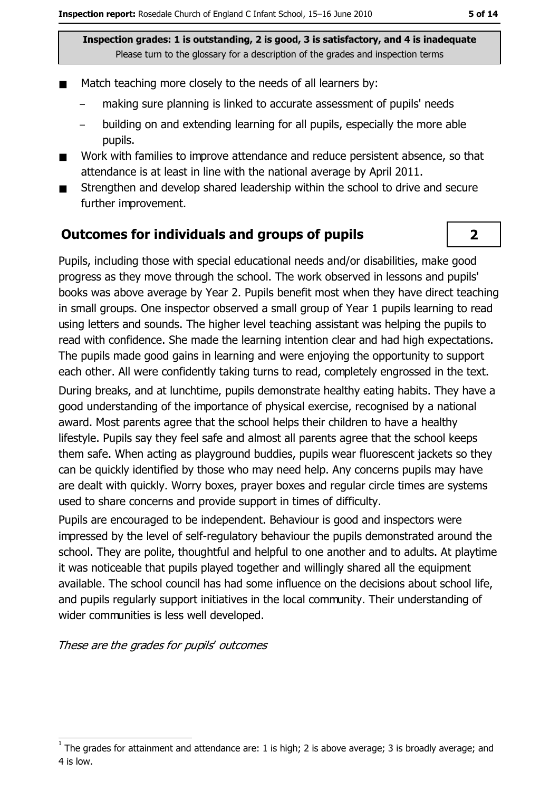- Match teaching more closely to the needs of all learners by:
	- making sure planning is linked to accurate assessment of pupils' needs
	- building on and extending learning for all pupils, especially the more able pupils.
- Work with families to improve attendance and reduce persistent absence, so that  $\blacksquare$ attendance is at least in line with the national average by April 2011.
- Strengthen and develop shared leadership within the school to drive and secure  $\blacksquare$ further improvement.

## **Outcomes for individuals and groups of pupils**

Pupils, including those with special educational needs and/or disabilities, make good progress as they move through the school. The work observed in lessons and pupils' books was above average by Year 2. Pupils benefit most when they have direct teaching in small groups. One inspector observed a small group of Year 1 pupils learning to read using letters and sounds. The higher level teaching assistant was helping the pupils to read with confidence. She made the learning intention clear and had high expectations. The pupils made good gains in learning and were enjoying the opportunity to support each other. All were confidently taking turns to read, completely engrossed in the text. During breaks, and at lunchtime, pupils demonstrate healthy eating habits. They have a good understanding of the importance of physical exercise, recognised by a national award. Most parents agree that the school helps their children to have a healthy lifestyle. Pupils say they feel safe and almost all parents agree that the school keeps them safe. When acting as playground buddies, pupils wear fluorescent jackets so they can be quickly identified by those who may need help. Any concerns pupils may have are dealt with quickly. Worry boxes, prayer boxes and regular circle times are systems used to share concerns and provide support in times of difficulty.

Pupils are encouraged to be independent. Behaviour is good and inspectors were impressed by the level of self-regulatory behaviour the pupils demonstrated around the school. They are polite, thoughtful and helpful to one another and to adults. At playtime it was noticeable that pupils played together and willingly shared all the equipment available. The school council has had some influence on the decisions about school life, and pupils regularly support initiatives in the local community. Their understanding of wider communities is less well developed.

These are the grades for pupils' outcomes

 $\overline{2}$ 

The grades for attainment and attendance are: 1 is high; 2 is above average; 3 is broadly average; and 4 is low.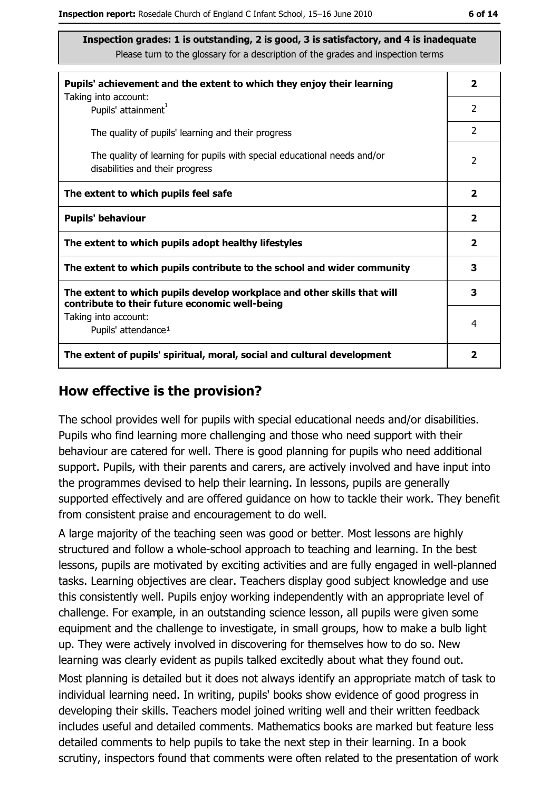| Pupils' achievement and the extent to which they enjoy their learning                                                     |                |
|---------------------------------------------------------------------------------------------------------------------------|----------------|
| Taking into account:<br>Pupils' attainment <sup>1</sup>                                                                   | $\overline{2}$ |
| The quality of pupils' learning and their progress                                                                        | $\overline{2}$ |
| The quality of learning for pupils with special educational needs and/or<br>disabilities and their progress               | $\overline{2}$ |
| The extent to which pupils feel safe                                                                                      |                |
| <b>Pupils' behaviour</b>                                                                                                  |                |
| The extent to which pupils adopt healthy lifestyles                                                                       |                |
| The extent to which pupils contribute to the school and wider community                                                   |                |
| The extent to which pupils develop workplace and other skills that will<br>contribute to their future economic well-being |                |
| Taking into account:<br>Pupils' attendance <sup>1</sup>                                                                   | 4              |
| The extent of pupils' spiritual, moral, social and cultural development                                                   |                |

#### How effective is the provision?

The school provides well for pupils with special educational needs and/or disabilities. Pupils who find learning more challenging and those who need support with their behaviour are catered for well. There is good planning for pupils who need additional support. Pupils, with their parents and carers, are actively involved and have input into the programmes devised to help their learning. In lessons, pupils are generally supported effectively and are offered quidance on how to tackle their work. They benefit from consistent praise and encouragement to do well.

A large majority of the teaching seen was good or better. Most lessons are highly structured and follow a whole-school approach to teaching and learning. In the best lessons, pupils are motivated by exciting activities and are fully engaged in well-planned tasks. Learning objectives are clear. Teachers display good subject knowledge and use this consistently well. Pupils enjoy working independently with an appropriate level of challenge. For example, in an outstanding science lesson, all pupils were given some equipment and the challenge to investigate, in small groups, how to make a bulb light up. They were actively involved in discovering for themselves how to do so. New learning was clearly evident as pupils talked excitedly about what they found out.

Most planning is detailed but it does not always identify an appropriate match of task to individual learning need. In writing, pupils' books show evidence of good progress in developing their skills. Teachers model joined writing well and their written feedback includes useful and detailed comments. Mathematics books are marked but feature less detailed comments to help pupils to take the next step in their learning. In a book scrutiny, inspectors found that comments were often related to the presentation of work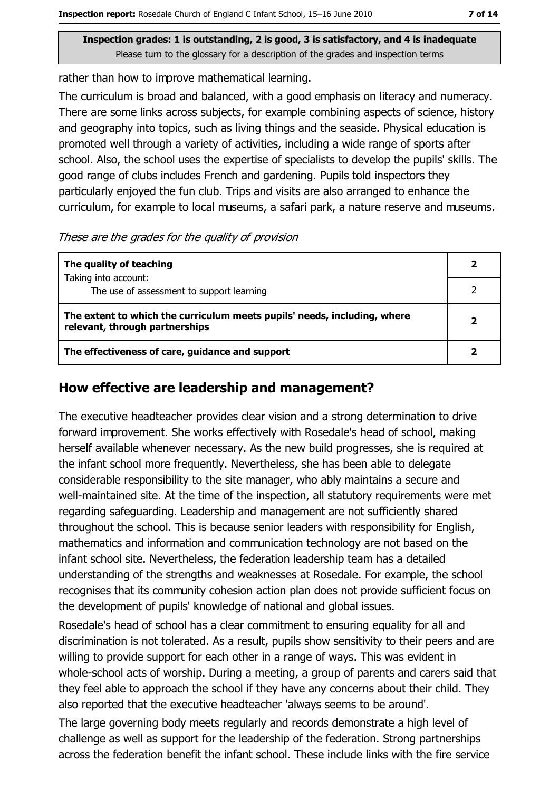rather than how to improve mathematical learning.

The curriculum is broad and balanced, with a good emphasis on literacy and numeracy. There are some links across subjects, for example combining aspects of science, history and geography into topics, such as living things and the seaside. Physical education is promoted well through a variety of activities, including a wide range of sports after school. Also, the school uses the expertise of specialists to develop the pupils' skills. The good range of clubs includes French and gardening. Pupils told inspectors they particularly enjoyed the fun club. Trips and visits are also arranged to enhance the curriculum, for example to local museums, a safari park, a nature reserve and museums.

These are the grades for the quality of provision

| The quality of teaching                                                                                    |  |
|------------------------------------------------------------------------------------------------------------|--|
| Taking into account:<br>The use of assessment to support learning                                          |  |
| The extent to which the curriculum meets pupils' needs, including, where<br>relevant, through partnerships |  |
| The effectiveness of care, guidance and support                                                            |  |

## How effective are leadership and management?

The executive headteacher provides clear vision and a strong determination to drive forward improvement. She works effectively with Rosedale's head of school, making herself available whenever necessary. As the new build progresses, she is required at the infant school more frequently. Nevertheless, she has been able to delegate considerable responsibility to the site manager, who ably maintains a secure and well-maintained site. At the time of the inspection, all statutory requirements were met regarding safeguarding. Leadership and management are not sufficiently shared throughout the school. This is because senior leaders with responsibility for English, mathematics and information and communication technology are not based on the infant school site. Nevertheless, the federation leadership team has a detailed understanding of the strengths and weaknesses at Rosedale. For example, the school recognises that its community cohesion action plan does not provide sufficient focus on the development of pupils' knowledge of national and global issues.

Rosedale's head of school has a clear commitment to ensuring equality for all and discrimination is not tolerated. As a result, pupils show sensitivity to their peers and are willing to provide support for each other in a range of ways. This was evident in whole-school acts of worship. During a meeting, a group of parents and carers said that they feel able to approach the school if they have any concerns about their child. They also reported that the executive headteacher 'always seems to be around'.

The large governing body meets regularly and records demonstrate a high level of challenge as well as support for the leadership of the federation. Strong partnerships across the federation benefit the infant school. These include links with the fire service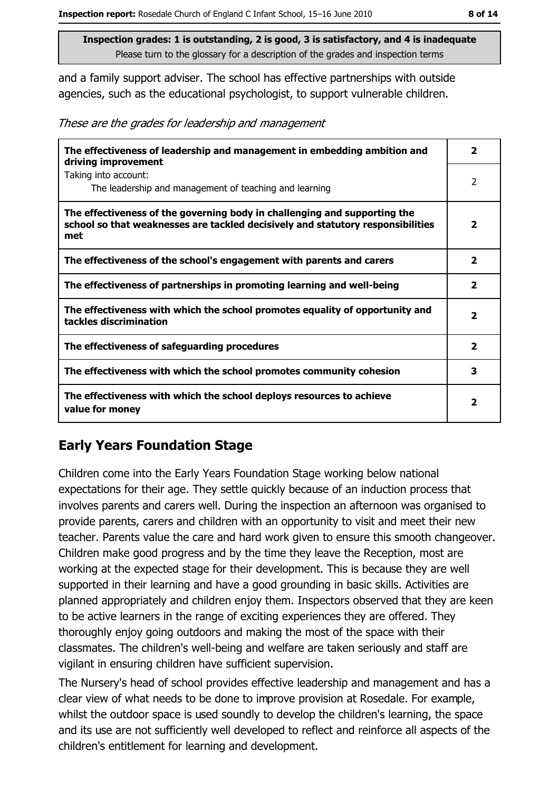and a family support adviser. The school has effective partnerships with outside agencies, such as the educational psychologist, to support vulnerable children.

These are the grades for leadership and management

| The effectiveness of leadership and management in embedding ambition and<br>driving improvement                                                                     | 2                       |
|---------------------------------------------------------------------------------------------------------------------------------------------------------------------|-------------------------|
| Taking into account:<br>The leadership and management of teaching and learning                                                                                      | $\overline{2}$          |
| The effectiveness of the governing body in challenging and supporting the<br>school so that weaknesses are tackled decisively and statutory responsibilities<br>met | $\overline{\mathbf{2}}$ |
| The effectiveness of the school's engagement with parents and carers                                                                                                | $\overline{\mathbf{2}}$ |
| The effectiveness of partnerships in promoting learning and well-being                                                                                              | $\overline{\mathbf{2}}$ |
| The effectiveness with which the school promotes equality of opportunity and<br>tackles discrimination                                                              | 2                       |
| The effectiveness of safeguarding procedures                                                                                                                        | $\mathbf{2}$            |
| The effectiveness with which the school promotes community cohesion                                                                                                 | 3                       |
| The effectiveness with which the school deploys resources to achieve<br>value for money                                                                             |                         |

## **Early Years Foundation Stage**

Children come into the Early Years Foundation Stage working below national expectations for their age. They settle quickly because of an induction process that involves parents and carers well. During the inspection an afternoon was organised to provide parents, carers and children with an opportunity to visit and meet their new teacher. Parents value the care and hard work given to ensure this smooth changeover. Children make good progress and by the time they leave the Reception, most are working at the expected stage for their development. This is because they are well supported in their learning and have a good grounding in basic skills. Activities are planned appropriately and children enjoy them. Inspectors observed that they are keen to be active learners in the range of exciting experiences they are offered. They thoroughly enjoy going outdoors and making the most of the space with their classmates. The children's well-being and welfare are taken seriously and staff are vigilant in ensuring children have sufficient supervision.

The Nursery's head of school provides effective leadership and management and has a clear view of what needs to be done to improve provision at Rosedale. For example, whilst the outdoor space is used soundly to develop the children's learning, the space and its use are not sufficiently well developed to reflect and reinforce all aspects of the children's entitlement for learning and development.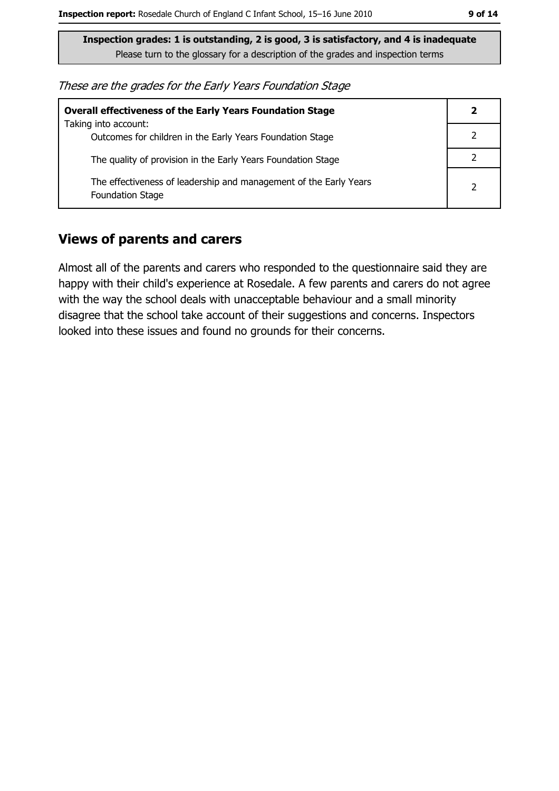These are the grades for the Early Years Foundation Stage

| <b>Overall effectiveness of the Early Years Foundation Stage</b>                             |                |
|----------------------------------------------------------------------------------------------|----------------|
| Taking into account:<br>Outcomes for children in the Early Years Foundation Stage            |                |
| The quality of provision in the Early Years Foundation Stage                                 |                |
| The effectiveness of leadership and management of the Early Years<br><b>Foundation Stage</b> | $\overline{2}$ |

#### **Views of parents and carers**

Almost all of the parents and carers who responded to the questionnaire said they are happy with their child's experience at Rosedale. A few parents and carers do not agree with the way the school deals with unacceptable behaviour and a small minority disagree that the school take account of their suggestions and concerns. Inspectors looked into these issues and found no grounds for their concerns.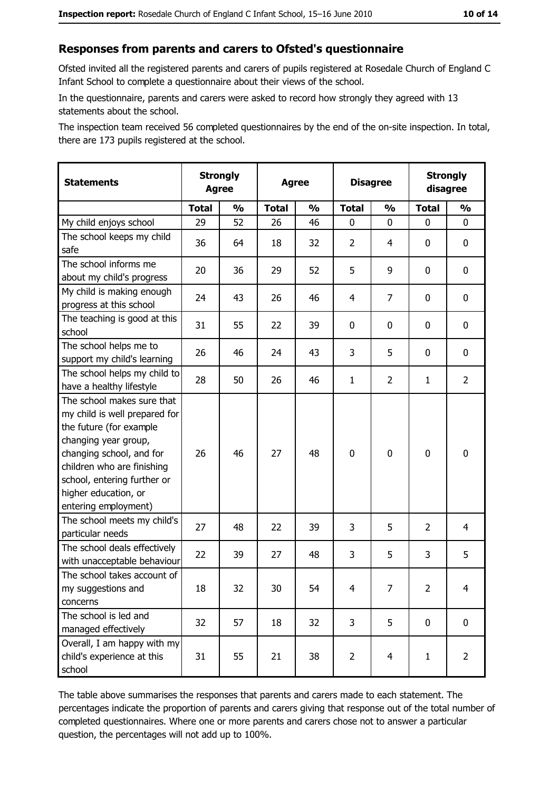#### Responses from parents and carers to Ofsted's questionnaire

Ofsted invited all the registered parents and carers of pupils registered at Rosedale Church of England C Infant School to complete a questionnaire about their views of the school.

In the questionnaire, parents and carers were asked to record how strongly they agreed with 13 statements about the school.

The inspection team received 56 completed questionnaires by the end of the on-site inspection. In total, there are 173 pupils registered at the school.

| <b>Statements</b>                                                                                                                                                                                                                                       | <b>Strongly</b><br><b>Agree</b> |               | <b>Agree</b> |               | <b>Disagree</b> |                | <b>Strongly</b><br>disagree |                |
|---------------------------------------------------------------------------------------------------------------------------------------------------------------------------------------------------------------------------------------------------------|---------------------------------|---------------|--------------|---------------|-----------------|----------------|-----------------------------|----------------|
|                                                                                                                                                                                                                                                         | <b>Total</b>                    | $\frac{1}{2}$ | <b>Total</b> | $\frac{0}{0}$ | <b>Total</b>    | $\frac{0}{0}$  | <b>Total</b>                | $\frac{9}{6}$  |
| My child enjoys school                                                                                                                                                                                                                                  | 29                              | 52            | 26           | 46            | $\mathbf 0$     | 0              | $\Omega$                    | 0              |
| The school keeps my child<br>safe                                                                                                                                                                                                                       | 36                              | 64            | 18           | 32            | $\overline{2}$  | 4              | 0                           | 0              |
| The school informs me<br>about my child's progress                                                                                                                                                                                                      | 20                              | 36            | 29           | 52            | 5               | 9              | 0                           | 0              |
| My child is making enough<br>progress at this school                                                                                                                                                                                                    | 24                              | 43            | 26           | 46            | $\overline{4}$  | 7              | 0                           | 0              |
| The teaching is good at this<br>school                                                                                                                                                                                                                  | 31                              | 55            | 22           | 39            | $\mathbf 0$     | 0              | 0                           | 0              |
| The school helps me to<br>support my child's learning                                                                                                                                                                                                   | 26                              | 46            | 24           | 43            | 3               | 5              | 0                           | 0              |
| The school helps my child to<br>have a healthy lifestyle                                                                                                                                                                                                | 28                              | 50            | 26           | 46            | $\mathbf{1}$    | $\overline{2}$ | 1                           | $\overline{2}$ |
| The school makes sure that<br>my child is well prepared for<br>the future (for example<br>changing year group,<br>changing school, and for<br>children who are finishing<br>school, entering further or<br>higher education, or<br>entering employment) | 26                              | 46            | 27           | 48            | $\mathbf 0$     | 0              | $\mathbf 0$                 | 0              |
| The school meets my child's<br>particular needs                                                                                                                                                                                                         | 27                              | 48            | 22           | 39            | 3               | 5              | $\overline{2}$              | $\overline{4}$ |
| The school deals effectively<br>with unacceptable behaviour                                                                                                                                                                                             | 22                              | 39            | 27           | 48            | 3               | 5              | 3                           | 5              |
| The school takes account of<br>my suggestions and<br>concerns                                                                                                                                                                                           | 18                              | 32            | 30           | 54            | $\overline{4}$  | 7              | $\overline{2}$              | $\overline{4}$ |
| The school is led and<br>managed effectively                                                                                                                                                                                                            | 32                              | 57            | 18           | 32            | $\overline{3}$  | 5              | 0                           | $\mathbf 0$    |
| Overall, I am happy with my<br>child's experience at this<br>school                                                                                                                                                                                     | 31                              | 55            | 21           | 38            | $\overline{2}$  | $\overline{4}$ | $\mathbf{1}$                | $\overline{2}$ |

The table above summarises the responses that parents and carers made to each statement. The percentages indicate the proportion of parents and carers giving that response out of the total number of completed questionnaires. Where one or more parents and carers chose not to answer a particular question, the percentages will not add up to 100%.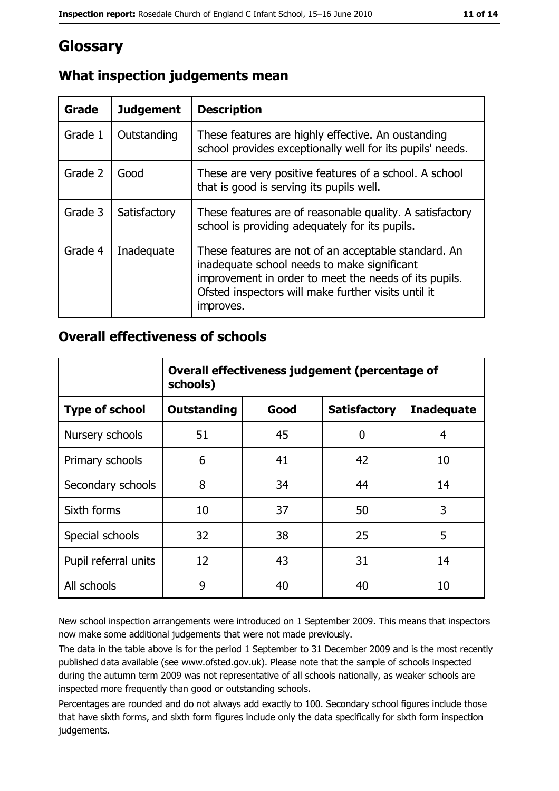# **Glossary**

| Grade   | <b>Judgement</b> | <b>Description</b>                                                                                                                                                                                                               |
|---------|------------------|----------------------------------------------------------------------------------------------------------------------------------------------------------------------------------------------------------------------------------|
| Grade 1 | Outstanding      | These features are highly effective. An oustanding<br>school provides exceptionally well for its pupils' needs.                                                                                                                  |
| Grade 2 | Good             | These are very positive features of a school. A school<br>that is good is serving its pupils well.                                                                                                                               |
| Grade 3 | Satisfactory     | These features are of reasonable quality. A satisfactory<br>school is providing adequately for its pupils.                                                                                                                       |
| Grade 4 | Inadequate       | These features are not of an acceptable standard. An<br>inadequate school needs to make significant<br>improvement in order to meet the needs of its pupils.<br>Ofsted inspectors will make further visits until it<br>improves. |

## What inspection judgements mean

#### **Overall effectiveness of schools**

|                       | Overall effectiveness judgement (percentage of<br>schools) |      |                     |                   |
|-----------------------|------------------------------------------------------------|------|---------------------|-------------------|
| <b>Type of school</b> | <b>Outstanding</b>                                         | Good | <b>Satisfactory</b> | <b>Inadequate</b> |
| Nursery schools       | 51                                                         | 45   | 0                   | 4                 |
| Primary schools       | 6                                                          | 41   | 42                  | 10                |
| Secondary schools     | 8                                                          | 34   | 44                  | 14                |
| Sixth forms           | 10                                                         | 37   | 50                  | 3                 |
| Special schools       | 32                                                         | 38   | 25                  | 5                 |
| Pupil referral units  | 12                                                         | 43   | 31                  | 14                |
| All schools           | 9                                                          | 40   | 40                  | 10                |

New school inspection arrangements were introduced on 1 September 2009. This means that inspectors now make some additional judgements that were not made previously.

The data in the table above is for the period 1 September to 31 December 2009 and is the most recently published data available (see www.ofsted.gov.uk). Please note that the sample of schools inspected during the autumn term 2009 was not representative of all schools nationally, as weaker schools are inspected more frequently than good or outstanding schools.

Percentages are rounded and do not always add exactly to 100. Secondary school figures include those that have sixth forms, and sixth form figures include only the data specifically for sixth form inspection judgements.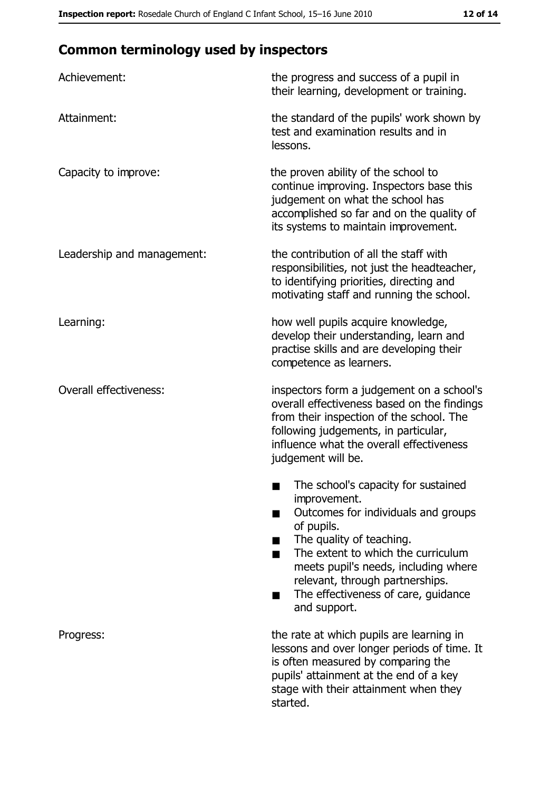# **Common terminology used by inspectors**

| Achievement:                  | the progress and success of a pupil in<br>their learning, development or training.                                                                                                                                                                                                                           |
|-------------------------------|--------------------------------------------------------------------------------------------------------------------------------------------------------------------------------------------------------------------------------------------------------------------------------------------------------------|
| Attainment:                   | the standard of the pupils' work shown by<br>test and examination results and in<br>lessons.                                                                                                                                                                                                                 |
| Capacity to improve:          | the proven ability of the school to<br>continue improving. Inspectors base this<br>judgement on what the school has<br>accomplished so far and on the quality of<br>its systems to maintain improvement.                                                                                                     |
| Leadership and management:    | the contribution of all the staff with<br>responsibilities, not just the headteacher,<br>to identifying priorities, directing and<br>motivating staff and running the school.                                                                                                                                |
| Learning:                     | how well pupils acquire knowledge,<br>develop their understanding, learn and<br>practise skills and are developing their<br>competence as learners.                                                                                                                                                          |
| <b>Overall effectiveness:</b> | inspectors form a judgement on a school's<br>overall effectiveness based on the findings<br>from their inspection of the school. The<br>following judgements, in particular,<br>influence what the overall effectiveness<br>judgement will be.                                                               |
|                               | The school's capacity for sustained<br>improvement.<br>Outcomes for individuals and groups<br>of pupils.<br>The quality of teaching.<br>The extent to which the curriculum<br>meets pupil's needs, including where<br>relevant, through partnerships.<br>The effectiveness of care, guidance<br>and support. |
| Progress:                     | the rate at which pupils are learning in<br>lessons and over longer periods of time. It<br>is often measured by comparing the<br>pupils' attainment at the end of a key<br>stage with their attainment when they<br>started.                                                                                 |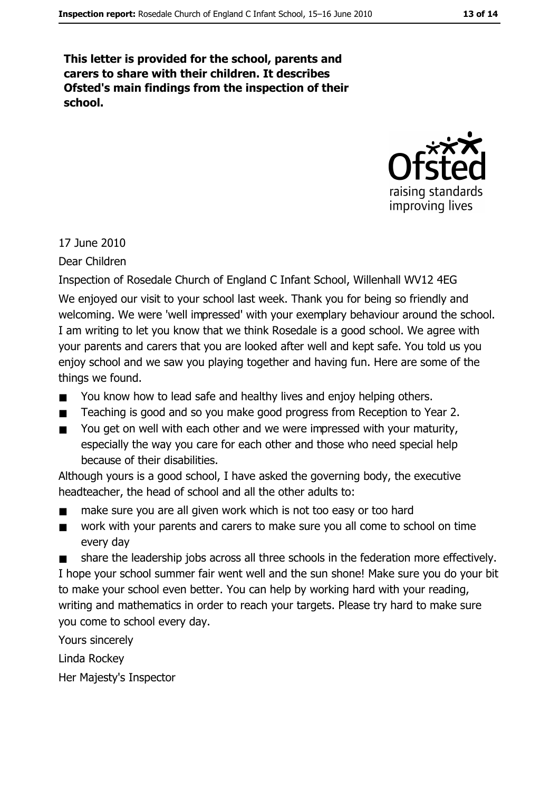This letter is provided for the school, parents and carers to share with their children. It describes Ofsted's main findings from the inspection of their school.



17 June 2010

Dear Children

Inspection of Rosedale Church of England C Infant School, Willenhall WV12 4EG We enjoyed our visit to your school last week. Thank you for being so friendly and welcoming. We were 'well impressed' with your exemplary behaviour around the school. I am writing to let you know that we think Rosedale is a good school. We agree with your parents and carers that you are looked after well and kept safe. You told us you enjoy school and we saw you playing together and having fun. Here are some of the things we found.

- You know how to lead safe and healthy lives and enjoy helping others.  $\blacksquare$
- Teaching is good and so you make good progress from Reception to Year 2.
- You get on well with each other and we were impressed with your maturity,  $\blacksquare$ especially the way you care for each other and those who need special help because of their disabilities.

Although yours is a good school, I have asked the governing body, the executive headteacher, the head of school and all the other adults to:

- make sure you are all given work which is not too easy or too hard  $\blacksquare$
- work with your parents and carers to make sure you all come to school on time  $\blacksquare$ every day

share the leadership jobs across all three schools in the federation more effectively. I hope your school summer fair went well and the sun shone! Make sure you do your bit to make your school even better. You can help by working hard with your reading, writing and mathematics in order to reach your targets. Please try hard to make sure you come to school every day.

Yours sincerely

Linda Rockey

Her Majesty's Inspector